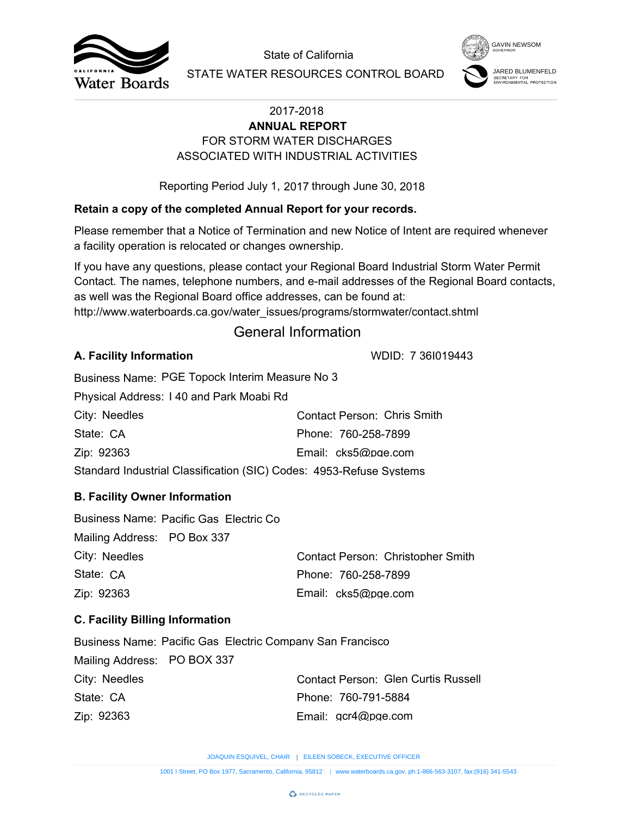



# FOR STORM WATER DISCHARGES **ANNUAL REPORT** ASSOCIATED WITH INDUSTRIAL ACTIVITIES

## **Retain a copy of the completed Annual Report for your records.**

## General Information

### **A. Facility Information**

| City: Needles                                                       | Contact Person: Chris Smith |  |  |  |
|---------------------------------------------------------------------|-----------------------------|--|--|--|
| State: CA                                                           | Phone: 760-258-7899         |  |  |  |
| Zip: 92363                                                          | Email: cks5@pge.com         |  |  |  |
| Standard Industrial Classification (SIC) Codes: 4953-Refuse Systems |                             |  |  |  |

## **B. Facility Owner Information**

|                                        |                                                                   | State of California                                                                                                                                                                                                                                                        | <b>GAVIN NEWSOM</b>                             |  |
|----------------------------------------|-------------------------------------------------------------------|----------------------------------------------------------------------------------------------------------------------------------------------------------------------------------------------------------------------------------------------------------------------------|-------------------------------------------------|--|
| Water Boards                           |                                                                   | STATE WATER RESOURCES CONTROL BOARD                                                                                                                                                                                                                                        | SECRETARY FOR<br><b>NVIRONMENTAL PROTECTION</b> |  |
|                                        |                                                                   | 2017-2018<br><b>ANNUAL REPORT</b>                                                                                                                                                                                                                                          |                                                 |  |
|                                        |                                                                   | FOR STORM WATER DISCHARGES                                                                                                                                                                                                                                                 |                                                 |  |
|                                        |                                                                   | ASSOCIATED WITH INDUSTRIAL ACTIVITIES                                                                                                                                                                                                                                      |                                                 |  |
|                                        |                                                                   | Reporting Period July 1, 2017 through June 30, 2018                                                                                                                                                                                                                        |                                                 |  |
|                                        |                                                                   | Retain a copy of the completed Annual Report for your records.                                                                                                                                                                                                             |                                                 |  |
|                                        | a facility operation is relocated or changes ownership.           | Please remember that a Notice of Termination and new Notice of Intent are required whenever                                                                                                                                                                                |                                                 |  |
|                                        | as well was the Regional Board office addresses, can be found at: | If you have any questions, please contact your Regional Board Industrial Storm Water Permit<br>Contact. The names, telephone numbers, and e-mail addresses of the Regional Board contacts,<br>http://www.waterboards.ca.gov/water_issues/programs/stormwater/contact.shtml |                                                 |  |
|                                        |                                                                   | <b>General Information</b>                                                                                                                                                                                                                                                 |                                                 |  |
| A. Facility Information                |                                                                   | WDID: 7 361019443                                                                                                                                                                                                                                                          |                                                 |  |
|                                        | Business Name: PGE Topock Interim Measure No 3                    |                                                                                                                                                                                                                                                                            |                                                 |  |
|                                        | Physical Address: 140 and Park Moabi Rd                           |                                                                                                                                                                                                                                                                            |                                                 |  |
| City: Needles                          |                                                                   | <b>Contact Person: Chris Smith</b>                                                                                                                                                                                                                                         |                                                 |  |
| State: CA                              | Phone: 760-258-7899                                               |                                                                                                                                                                                                                                                                            |                                                 |  |
| Zip: 92363                             |                                                                   | Email: cks5@pge.com                                                                                                                                                                                                                                                        |                                                 |  |
|                                        |                                                                   | Standard Industrial Classification (SIC) Codes: 4953-Refuse Systems                                                                                                                                                                                                        |                                                 |  |
| <b>B. Facility Owner Information</b>   |                                                                   |                                                                                                                                                                                                                                                                            |                                                 |  |
| Mailing Address: PO Box 337            | Business Name: Pacific Gas Electric Co                            |                                                                                                                                                                                                                                                                            |                                                 |  |
| City: Needles                          |                                                                   | Contact Person: Christopher Smith                                                                                                                                                                                                                                          |                                                 |  |
| State: CA                              |                                                                   | Phone: 760-258-7899                                                                                                                                                                                                                                                        |                                                 |  |
| Zip: 92363                             |                                                                   | Email: cks5@pge.com                                                                                                                                                                                                                                                        |                                                 |  |
| <b>C. Facility Billing Information</b> |                                                                   |                                                                                                                                                                                                                                                                            |                                                 |  |
|                                        | <b>Business Name: Pacific Gas Electric Company San Francisco</b>  |                                                                                                                                                                                                                                                                            |                                                 |  |
| Mailing Address: PO BOX 337            |                                                                   |                                                                                                                                                                                                                                                                            |                                                 |  |
| City: Needles                          |                                                                   | <b>Contact Person: Glen Curtis Russell</b>                                                                                                                                                                                                                                 |                                                 |  |
| State: CA                              |                                                                   | Phone: 760-791-5884                                                                                                                                                                                                                                                        |                                                 |  |
| Zip: 92363                             |                                                                   | Email: gcr4@pge.com                                                                                                                                                                                                                                                        |                                                 |  |
|                                        |                                                                   | JOAQUIN ESQUIVEL, CHAIR   EILEEN SOBECK, EXECUTIVE OFFICER                                                                                                                                                                                                                 |                                                 |  |
|                                        |                                                                   | 1001   Street, PO Box 1977, Sacramento, California, 95812     www.waterboards.ca.gov, ph:1-866-563-3107, fax:(916) 341-5543                                                                                                                                                |                                                 |  |

## **C. Facility Billing Information**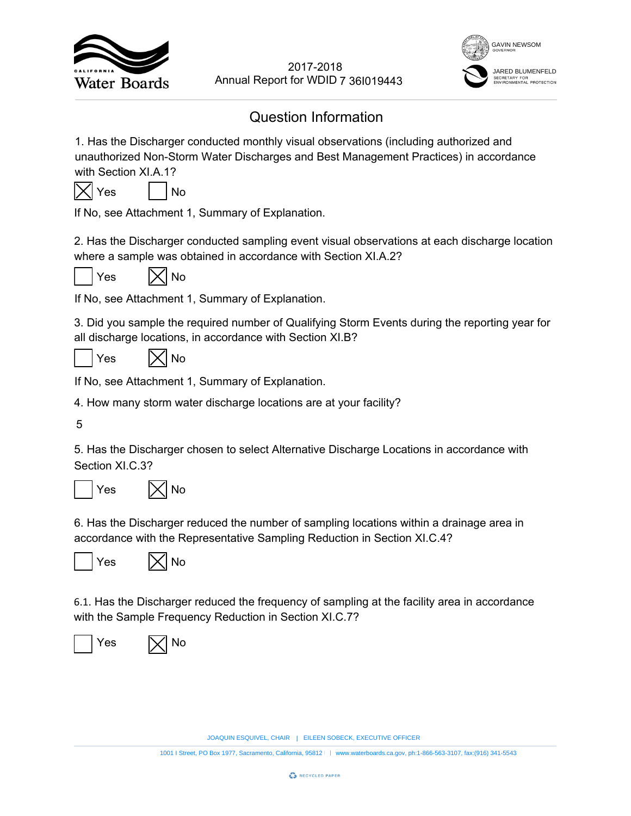



# Question Information

1. Has the Discharger conducted monthly visual observations (including authorized and unauthorized Non-Storm Water Discharges and Best Management Practices) in accordance with Section XI.A.1? EVERT SOBECK, EXECUTIVE OFFICER<br>
EXECUTIVE TO SOME SUPPOSED AND INTEGRAL INTEGRAL INTEGRAL DISPONSITION (INCLUDITY 260199443)<br>
HIMP DESCRIPTION SUPPOSE AND ACCORD AND ACCORD AND SECUTIVE OF SUPPOSE AND NOT SUPPOSE AND NOT 2017-2018<br>
18<br>
18<br>
18<br>
18<br>
18<br>
2018<br>
2019<br>
2019<br>
2019<br>
2019<br>
2019<br>
2019<br>
2019<br>
2019<br>
2019<br>
2020<br>
2020<br>
2020<br>
2020<br>
2020<br>
2020<br>
2020<br>
2020<br>
2020<br>
2020<br>
2020<br>
2020<br>
2020<br>
2020<br>
2020<br>
2020<br>
2020<br>
2020<br>
2020<br>
2020<br>
2020<br>
2020



If No, see Attachment 1, Summary of Explanation.

2. Has the Discharger conducted sampling event visual observations at each discharge location where a sample was obtained in accordance with Section XI.A.2?



 $Yes$   $|\times|$  No

If No, see Attachment 1, Summary of Explanation.

3. Did you sample the required number of Qualifying Storm Events during the reporting year for all discharge locations, in accordance with Section XI.B?

 $Yes$   $|\times|$  No

If No, see Attachment 1, Summary of Explanation.

4. How many storm water discharge locations are at your facility?

5

5. Has the Discharger chosen to select Alternative Discharge Locations in accordance with Section XI.C.3?





6. Has the Discharger reduced the number of sampling locations within a drainage area in accordance with the Representative Sampling Reduction in Section XI.C.4?





6.1. Has the Discharger reduced the frequency of sampling at the facility area in accordance with the Sample Frequency Reduction in Section XI.C.7?



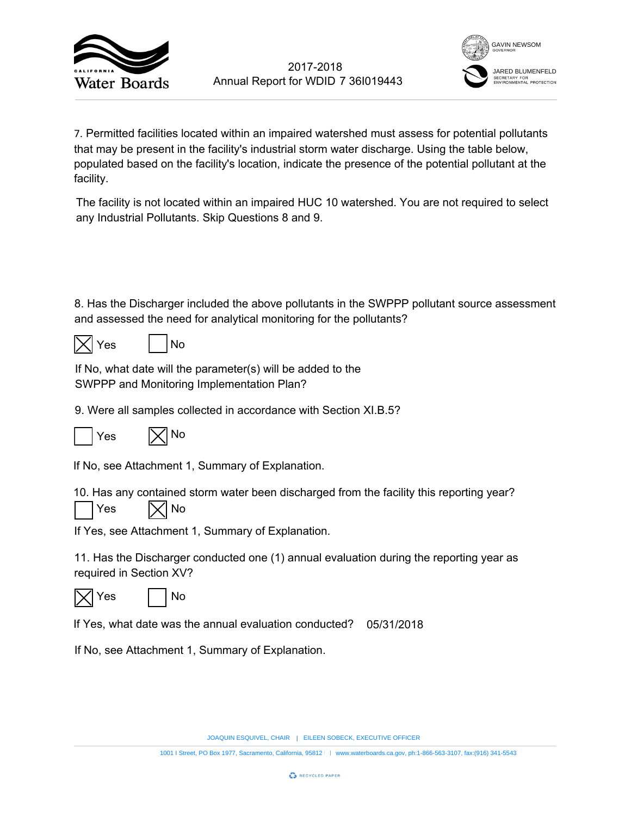



7. Permitted facilities located within an impaired watershed must assess for potential pollutants that may be present in the facility's industrial storm water discharge. Using the table below, populated based on the facility's location, indicate the presence of the potential pollutant at the facility. 7 36l019443<br>
rshed must asse<br>
eter discharge. U<br>
presence of the<br>
watershed. You<br>
n the SWPPP pc<br>
ne pollutants?<br>
b the<br>
tion XI.B.5?<br>
b the<br>
divided by the<br>
divided by the<br>
divided by the<br>
divided by the divided by the<br>
d 2017-2018<br>
1001 I Street Mithin an impaired watershed must assess for potential pollutane<br>
1001 Interactions and all the material scheme water discharge. Using the table helow,<br>
1001 Interactions and Box 1001 Interactions

The facility is not located within an impaired HUC 10 watershed. You are not required to select any Industrial Pollutants. Skip Questions 8 and 9.

8. Has the Discharger included the above pollutants in the SWPPP pollutant source assessment and assessed the need for analytical monitoring for the pollutants?

|--|

| ρς |  | No |
|----|--|----|
|----|--|----|

If No, what date will the parameter(s) will be added to the SWPPP and Monitoring Implementation Plan?

9. Were all samples collected in accordance with Section XI.B.5?



If No, see Attachment 1, Summary of Explanation.

10. Has any contained storm water been discharged from the facility this reporting year?





If Yes, see Attachment 1, Summary of Explanation.

11. Has the Discharger conducted one (1) annual evaluation during the reporting year as required in Section XV?





If Yes, what date was the annual evaluation conducted? 05/31/2018

If No, see Attachment 1, Summary of Explanation.

JOAQUIN ESQUIVEL, CHAIR | EILEEN SOBECK, EXECUTIVE OFFICER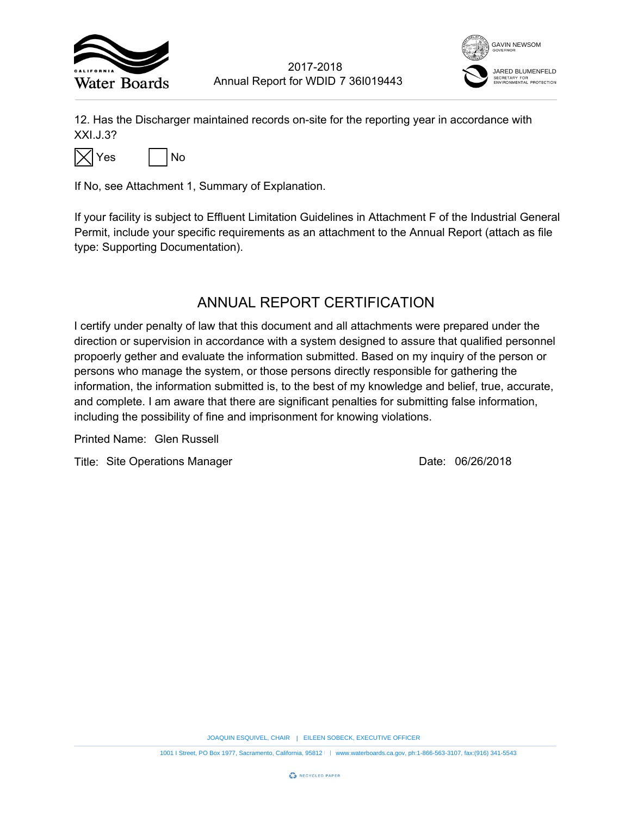



12. Has the Discharger maintained records on-site for the reporting year in accordance with XXI.J.3?



If No, see Attachment 1, Summary of Explanation.

If your facility is subject to Effluent Limitation Guidelines in Attachment F of the Industrial General Permit, include your specific requirements as an attachment to the Annual Report (attach as file type: Supporting Documentation).

## ANNUAL REPORT CERTIFICATION

I certify under penalty of law that this document and all attachments were prepared under the direction or supervision in accordance with a system designed to assure that qualified personnel propoerly gether and evaluate the information submitted. Based on my inquiry of the person or persons who manage the system, or those persons directly responsible for gathering the information, the information submitted is, to the best of my knowledge and belief, true, accurate, and complete. I am aware that there are significant penalties for submitting false information, including the possibility of fine and imprisonment for knowing violations. 7 361019443<br>
The reporting year in accordance<br>
the reporting year in accordance<br>
the Annual Report (attack<br>
ERTIFICATION<br>
Ill attachments were prepared und<br>
designed to assure that qualified p<br>
the Directly responsible for EXECUTIVE THE SURFACT THE SOBECT THE SURFACT THE SURFACT THE SURFACT THE SURFACT THE SURFACT THE SURFACT THE SURFACT THE SURFACT THAT AND MONUMENT SURFACT THAT AND MONUMENT SURFACT THAT AND DRESS DOCUMENTATION THAT IS CONT 1001 I F. Board Street, Power and Report for WDID 7 361019443<br>
1972<br>
1981 But Discusses<br>
1991 But Discusses<br>
1992 But Discusses<br>
1992 But Discusses<br>
1992 But Discusses California, 1-8671 But Discusses<br>
1993 But Discusses C

Printed Name:

Title: Site Operations Manager **Container Strutter Container 1986** Date: 06/26/2018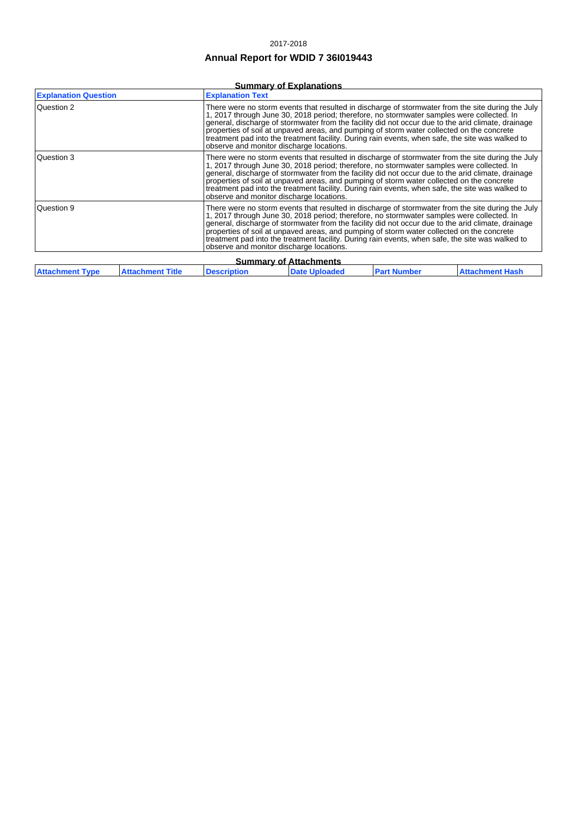### 2017-2018

### **Annual Report for WDID 7 36I019443**

### **Summary of Explanations**

| <b>Explanation Question</b>                                                                                                                                                                                                                                                                                                                                                                                                                                                                                                                                     |                         | <b>Explanation Text</b>                                                                                                                                                                                                                                                                                                                                                                                                                                                                                                                           |                      |                    |                        |
|-----------------------------------------------------------------------------------------------------------------------------------------------------------------------------------------------------------------------------------------------------------------------------------------------------------------------------------------------------------------------------------------------------------------------------------------------------------------------------------------------------------------------------------------------------------------|-------------------------|---------------------------------------------------------------------------------------------------------------------------------------------------------------------------------------------------------------------------------------------------------------------------------------------------------------------------------------------------------------------------------------------------------------------------------------------------------------------------------------------------------------------------------------------------|----------------------|--------------------|------------------------|
| Question 2                                                                                                                                                                                                                                                                                                                                                                                                                                                                                                                                                      |                         | There were no storm events that resulted in discharge of stormwater from the site during the July<br>1, 2017 through June 30, 2018 period; therefore, no stormwater samples were collected. In<br>general, discharge of stormwater from the facility did not occur due to the arid climate, drainage<br>properties of soil at unpayed areas, and pumping of storm water collected on the concrete<br>treatment pad into the treatment facility. During rain events, when safe, the site was walked to<br>observe and monitor discharge locations. |                      |                    |                        |
| Question 3                                                                                                                                                                                                                                                                                                                                                                                                                                                                                                                                                      |                         | There were no storm events that resulted in discharge of stormwater from the site during the July<br>1, 2017 through June 30, 2018 period; therefore, no stormwater samples were collected. In<br>general, discharge of stormwater from the facility did not occur due to the arid climate, drainage<br>properties of soil at unpaved areas, and pumping of storm water collected on the concrete<br>treatment pad into the treatment facility. During rain events, when safe, the site was walked to<br>observe and monitor discharge locations. |                      |                    |                        |
| Question 9<br>There were no storm events that resulted in discharge of stormwater from the site during the July<br>1, 2017 through June 30, 2018 period; therefore, no stormwater samples were collected. In<br>general, discharge of stormwater from the facility did not occur due to the arid climate, drainage<br>properties of soil at unpaved areas, and pumping of storm water collected on the concrete<br>treatment pad into the treatment facility. During rain events, when safe, the site was walked to<br>observe and monitor discharge locations. |                         |                                                                                                                                                                                                                                                                                                                                                                                                                                                                                                                                                   |                      |                    |                        |
| <b>Summary of Attachments</b>                                                                                                                                                                                                                                                                                                                                                                                                                                                                                                                                   |                         |                                                                                                                                                                                                                                                                                                                                                                                                                                                                                                                                                   |                      |                    |                        |
| <b>Attachment Type</b>                                                                                                                                                                                                                                                                                                                                                                                                                                                                                                                                          | <b>Attachment Title</b> | <b>Description</b>                                                                                                                                                                                                                                                                                                                                                                                                                                                                                                                                | <b>Date Uploaded</b> | <b>Part Number</b> | <b>Attachment Hash</b> |